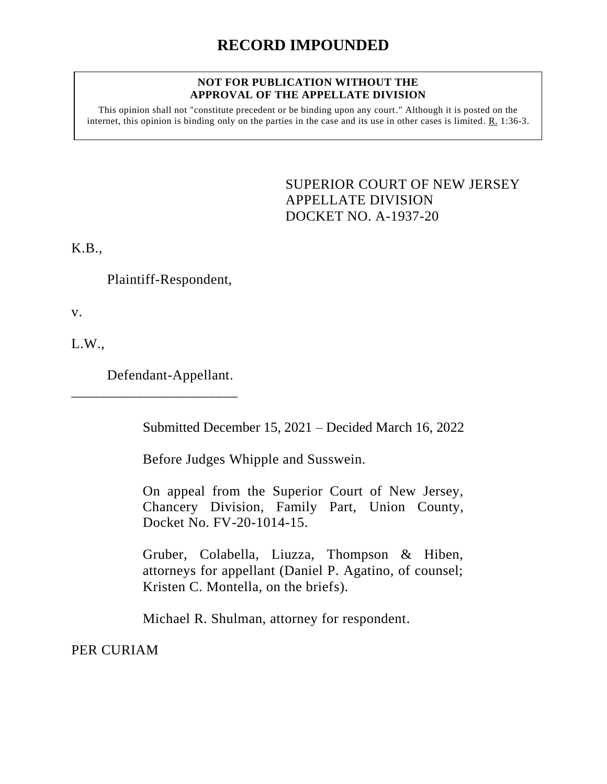# **RECORD IMPOUNDED**

#### **NOT FOR PUBLICATION WITHOUT THE APPROVAL OF THE APPELLATE DIVISION**

This opinion shall not "constitute precedent or be binding upon any court." Although it is posted on the internet, this opinion is binding only on the parties in the case and its use in other cases is limited. R. 1:36-3.

> <span id="page-0-0"></span>SUPERIOR COURT OF NEW JERSEY APPELLATE DIVISION DOCKET NO. A-1937-20

K.B.,

Plaintiff-Respondent,

v.

L.W.,

Defendant-Appellant.

\_\_\_\_\_\_\_\_\_\_\_\_\_\_\_\_\_\_\_\_\_\_\_

Submitted December 15, 2021 – Decided March 16, 2022

Before Judges Whipple and Susswein.

On appeal from the Superior Court of New Jersey, Chancery Division, Family Part, Union County, Docket No. FV-20-1014-15.

Gruber, Colabella, Liuzza, Thompson & Hiben, attorneys for appellant (Daniel P. Agatino, of counsel; Kristen C. Montella, on the briefs).

Michael R. Shulman, attorney for respondent.

PER CURIAM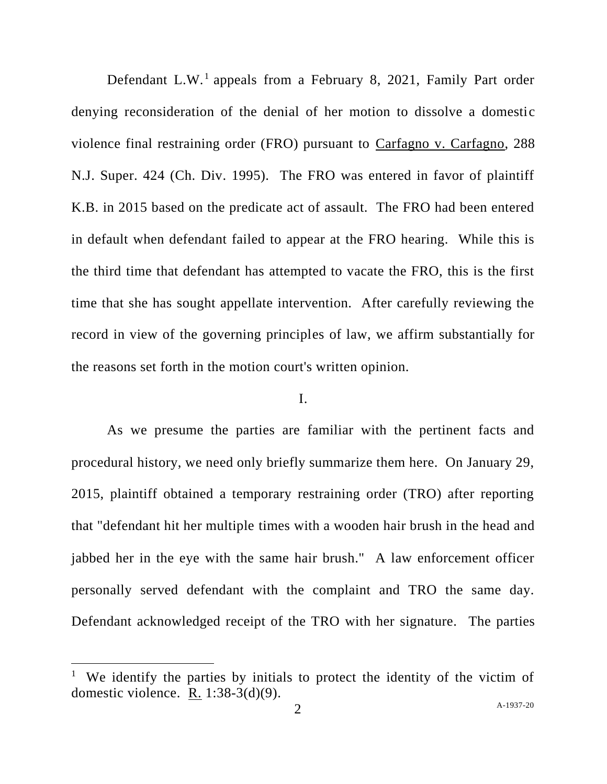Defendant L.W.<sup>1</sup> appeals from a February 8, 2021, Family Part order denying reconsideration of the denial of her motion to dissolve a domestic violence final restraining order (FRO) pursuant to Carfagno v. Carfagno, 288 N.J. Super. 424 (Ch. Div. 1995). The FRO was entered in favor of plaintiff K.B. in 2015 based on the predicate act of assault. The FRO had been entered in default when defendant failed to appear at the FRO hearing. While this is the third time that defendant has attempted to vacate the FRO, this is the first time that she has sought appellate intervention. After carefully reviewing the record in view of the governing principles of law, we affirm substantially for the reasons set forth in the motion court's written opinion.

## I.

As we presume the parties are familiar with the pertinent facts and procedural history, we need only briefly summarize them here. On January 29, 2015, plaintiff obtained a temporary restraining order (TRO) after reporting that "defendant hit her multiple times with a wooden hair brush in the head and jabbed her in the eye with the same hair brush." A law enforcement officer personally served defendant with the complaint and TRO the same day. Defendant acknowledged receipt of the TRO with her signature. The parties

<sup>&</sup>lt;sup>1</sup> We identify the parties by initials to protect the identity of the victim of domestic violence. R. 1:38-3(d)(9).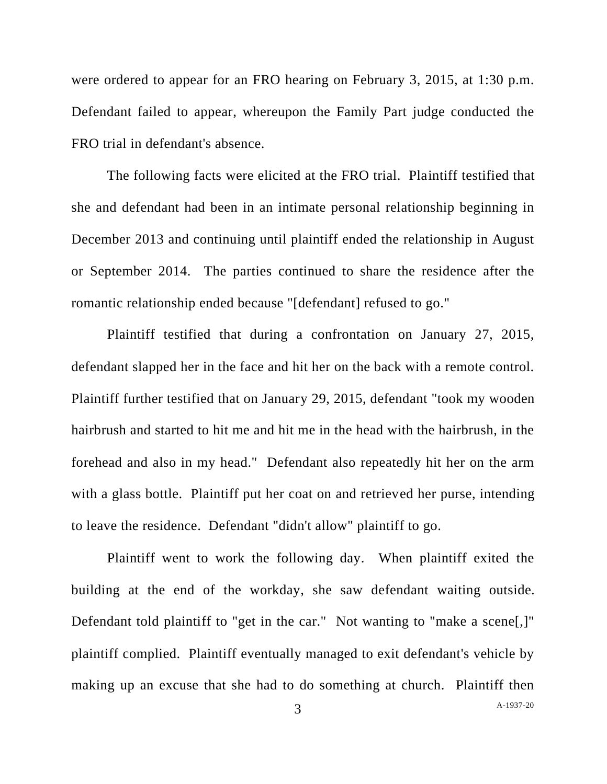were ordered to appear for an FRO hearing on February 3, 2015, at 1:30 p.m. Defendant failed to appear, whereupon the Family Part judge conducted the FRO trial in defendant's absence.

The following facts were elicited at the FRO trial. Plaintiff testified that she and defendant had been in an intimate personal relationship beginning in December 2013 and continuing until plaintiff ended the relationship in August or September 2014. The parties continued to share the residence after the romantic relationship ended because "[defendant] refused to go."

Plaintiff testified that during a confrontation on January 27, 2015, defendant slapped her in the face and hit her on the back with a remote control. Plaintiff further testified that on January 29, 2015, defendant "took my wooden hairbrush and started to hit me and hit me in the head with the hairbrush, in the forehead and also in my head." Defendant also repeatedly hit her on the arm with a glass bottle. Plaintiff put her coat on and retrieved her purse, intending to leave the residence. Defendant "didn't allow" plaintiff to go.

Plaintiff went to work the following day. When plaintiff exited the building at the end of the workday, she saw defendant waiting outside. Defendant told plaintiff to "get in the car." Not wanting to "make a scene.]" plaintiff complied. Plaintiff eventually managed to exit defendant's vehicle by making up an excuse that she had to do something at church. Plaintiff then

A[-1937-20](#page-0-0)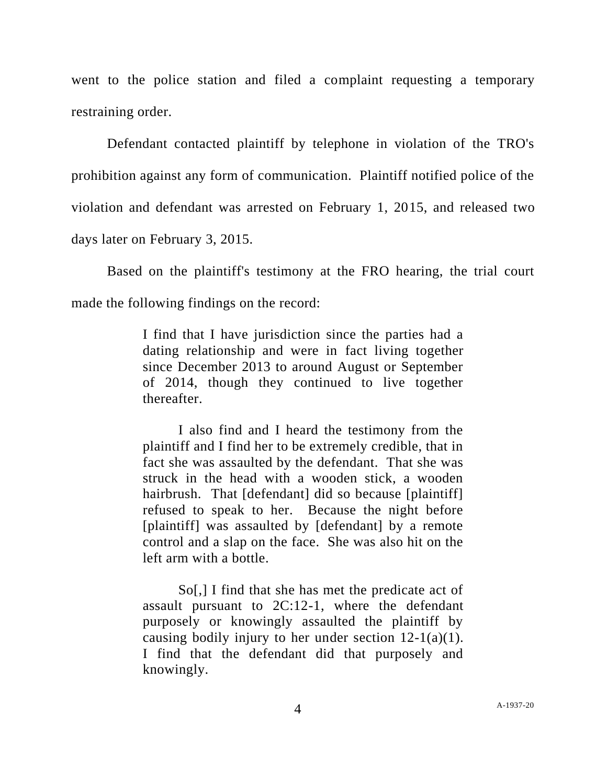went to the police station and filed a complaint requesting a temporary restraining order.

Defendant contacted plaintiff by telephone in violation of the TRO's prohibition against any form of communication. Plaintiff notified police of the violation and defendant was arrested on February 1, 2015, and released two days later on February 3, 2015.

Based on the plaintiff's testimony at the FRO hearing, the trial court made the following findings on the record:

> I find that I have jurisdiction since the parties had a dating relationship and were in fact living together since December 2013 to around August or September of 2014, though they continued to live together thereafter.

> I also find and I heard the testimony from the plaintiff and I find her to be extremely credible, that in fact she was assaulted by the defendant. That she was struck in the head with a wooden stick, a wooden hairbrush. That [defendant] did so because [plaintiff] refused to speak to her. Because the night before [plaintiff] was assaulted by [defendant] by a remote control and a slap on the face. She was also hit on the left arm with a bottle.

> So[,] I find that she has met the predicate act of assault pursuant to 2C:12-1, where the defendant purposely or knowingly assaulted the plaintiff by causing bodily injury to her under section  $12-1(a)(1)$ . I find that the defendant did that purposely and knowingly.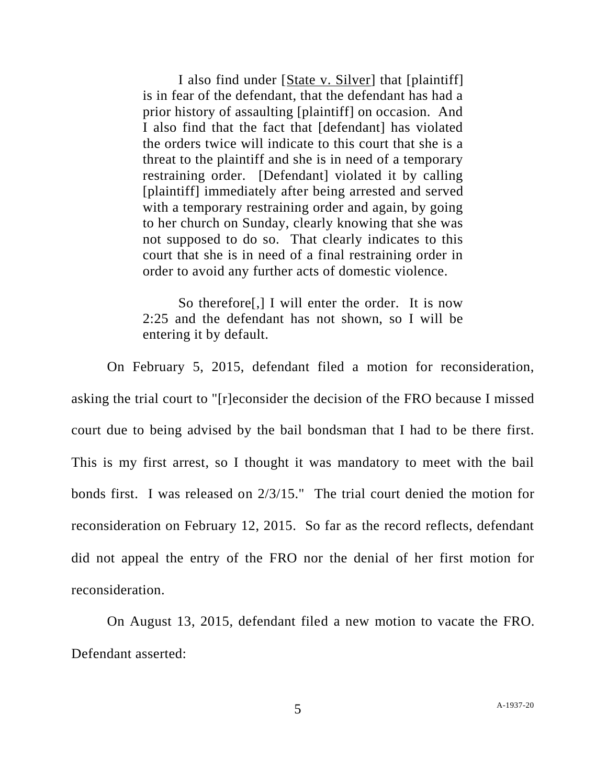I also find under [State v. Silver] that [plaintiff] is in fear of the defendant, that the defendant has had a prior history of assaulting [plaintiff] on occasion. And I also find that the fact that [defendant] has violated the orders twice will indicate to this court that she is a threat to the plaintiff and she is in need of a temporary restraining order. [Defendant] violated it by calling [plaintiff] immediately after being arrested and served with a temporary restraining order and again, by going to her church on Sunday, clearly knowing that she was not supposed to do so. That clearly indicates to this court that she is in need of a final restraining order in order to avoid any further acts of domestic violence.

So therefore[,] I will enter the order. It is now 2:25 and the defendant has not shown, so I will be entering it by default.

On February 5, 2015, defendant filed a motion for reconsideration, asking the trial court to "[r]econsider the decision of the FRO because I missed court due to being advised by the bail bondsman that I had to be there first. This is my first arrest, so I thought it was mandatory to meet with the bail bonds first. I was released on 2/3/15." The trial court denied the motion for reconsideration on February 12, 2015. So far as the record reflects, defendant did not appeal the entry of the FRO nor the denial of her first motion for reconsideration.

On August 13, 2015, defendant filed a new motion to vacate the FRO. Defendant asserted: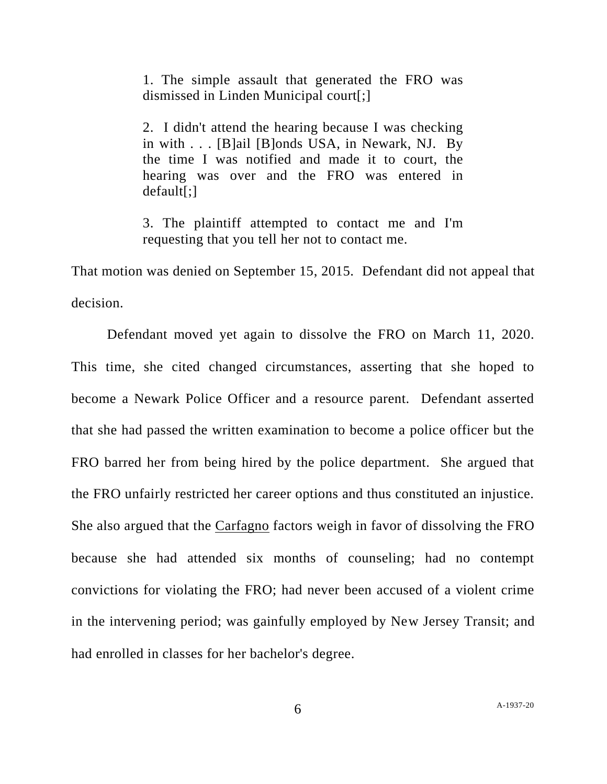1. The simple assault that generated the FRO was dismissed in Linden Municipal court[;]

2. I didn't attend the hearing because I was checking in with . . . [B]ail [B]onds USA, in Newark, NJ. By the time I was notified and made it to court, the hearing was over and the FRO was entered in default[;]

3. The plaintiff attempted to contact me and I'm requesting that you tell her not to contact me.

That motion was denied on September 15, 2015. Defendant did not appeal that decision.

Defendant moved yet again to dissolve the FRO on March 11, 2020. This time, she cited changed circumstances, asserting that she hoped to become a Newark Police Officer and a resource parent. Defendant asserted that she had passed the written examination to become a police officer but the FRO barred her from being hired by the police department. She argued that the FRO unfairly restricted her career options and thus constituted an injustice. She also argued that the Carfagno factors weigh in favor of dissolving the FRO because she had attended six months of counseling; had no contempt convictions for violating the FRO; had never been accused of a violent crime in the intervening period; was gainfully employed by New Jersey Transit; and had enrolled in classes for her bachelor's degree.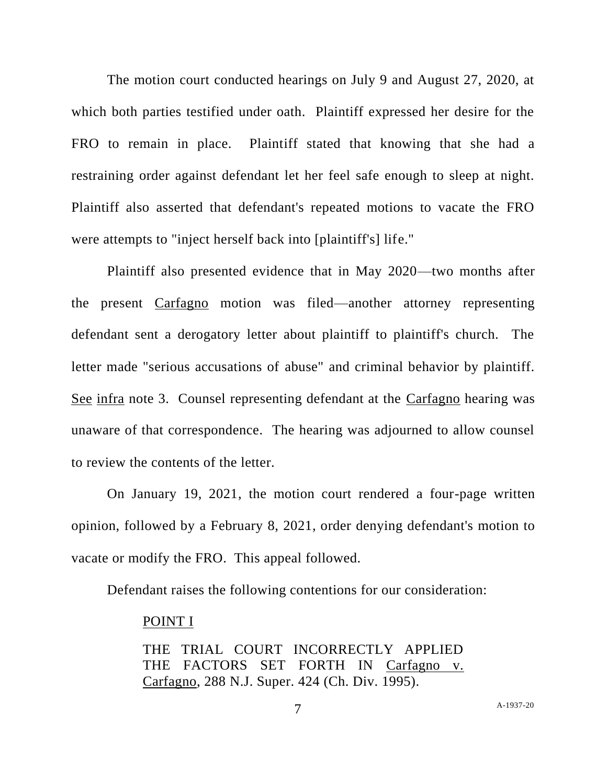The motion court conducted hearings on July 9 and August 27, 2020, at which both parties testified under oath. Plaintiff expressed her desire for the FRO to remain in place. Plaintiff stated that knowing that she had a restraining order against defendant let her feel safe enough to sleep at night. Plaintiff also asserted that defendant's repeated motions to vacate the FRO were attempts to "inject herself back into [plaintiff's] life."

Plaintiff also presented evidence that in May 2020—two months after the present Carfagno motion was filed—another attorney representing defendant sent a derogatory letter about plaintiff to plaintiff's church. The letter made "serious accusations of abuse" and criminal behavior by plaintiff. See infra note 3. Counsel representing defendant at the Carfagno hearing was unaware of that correspondence. The hearing was adjourned to allow counsel to review the contents of the letter.

On January 19, 2021, the motion court rendered a four-page written opinion, followed by a February 8, 2021, order denying defendant's motion to vacate or modify the FRO. This appeal followed.

Defendant raises the following contentions for our consideration:

#### POINT I

THE TRIAL COURT INCORRECTLY APPLIED THE FACTORS SET FORTH IN Carfagno v. Carfagno, 288 N.J. Super. 424 (Ch. Div. 1995).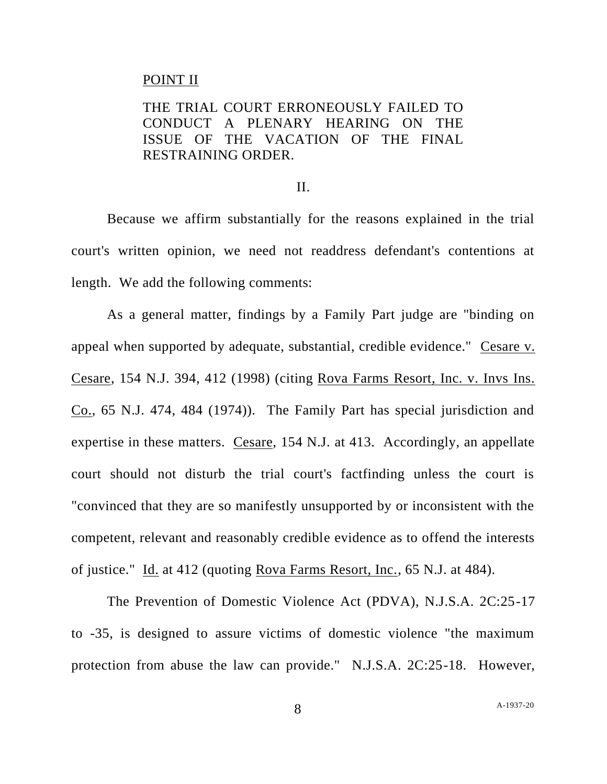### POINT II

# THE TRIAL COURT ERRONEOUSLY FAILED TO CONDUCT A PLENARY HEARING ON THE ISSUE OF THE VACATION OF THE FINAL RESTRAINING ORDER.

### II.

Because we affirm substantially for the reasons explained in the trial court's written opinion, we need not readdress defendant's contentions at length. We add the following comments:

As a general matter, findings by a Family Part judge are "binding on appeal when supported by adequate, substantial, credible evidence." Cesare v. Cesare, 154 N.J. 394, 412 (1998) (citing Rova Farms Resort, Inc. v. Invs Ins. Co., 65 N.J. 474, 484 (1974)). The Family Part has special jurisdiction and expertise in these matters. Cesare, 154 N.J. at 413. Accordingly, an appellate court should not disturb the trial court's factfinding unless the court is "convinced that they are so manifestly unsupported by or inconsistent with the competent, relevant and reasonably credible evidence as to offend the interests of justice." Id. at 412 (quoting Rova Farms Resort, Inc., 65 N.J. at 484).

The Prevention of Domestic Violence Act (PDVA), N.J.S.A. 2C:25-17 to -35, is designed to assure victims of domestic violence "the maximum protection from abuse the law can provide." N.J.S.A. 2C:25-18. However,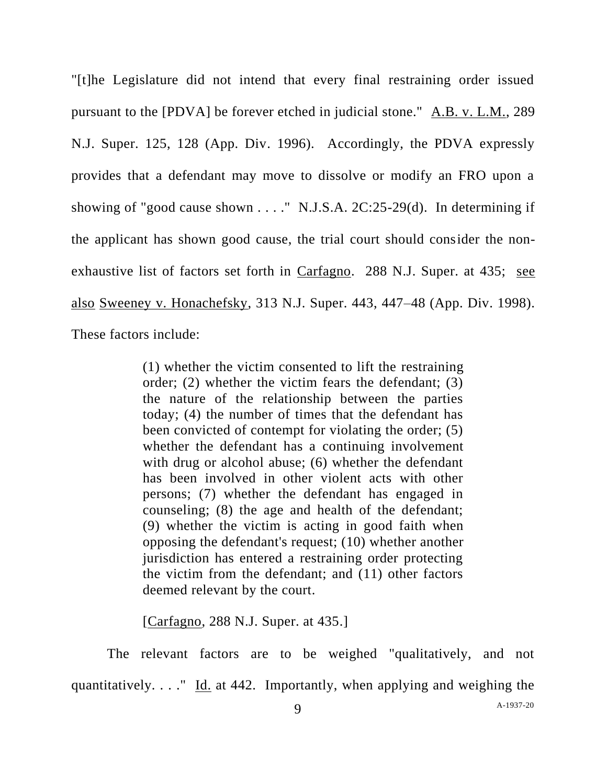"[t]he Legislature did not intend that every final restraining order issued pursuant to the [PDVA] be forever etched in judicial stone." A.B. v. L.M., 289 N.J. Super. 125, 128 (App. Div. 1996). Accordingly, the PDVA expressly provides that a defendant may move to dissolve or modify an FRO upon a showing of "good cause shown . . . ." N.J.S.A. 2C:25-29(d). In determining if the applicant has shown good cause, the trial court should consider the nonexhaustive list of factors set forth in Carfagno. 288 N.J. Super. at 435; see also Sweeney v. Honachefsky, 313 N.J. Super. 443, 447–48 (App. Div. 1998). These factors include:

> (1) whether the victim consented to lift the restraining order; (2) whether the victim fears the defendant; (3) the nature of the relationship between the parties today; (4) the number of times that the defendant has been convicted of contempt for violating the order; (5) whether the defendant has a continuing involvement with drug or alcohol abuse; (6) whether the defendant has been involved in other violent acts with other persons; (7) whether the defendant has engaged in counseling; (8) the age and health of the defendant; (9) whether the victim is acting in good faith when opposing the defendant's request; (10) whether another jurisdiction has entered a restraining order protecting the victim from the defendant; and (11) other factors deemed relevant by the court.

[Carfagno, 288 N.J. Super. at 435.]

The relevant factors are to be weighed "qualitatively, and not quantitatively. . . ." Id. at 442. Importantly, when applying and weighing the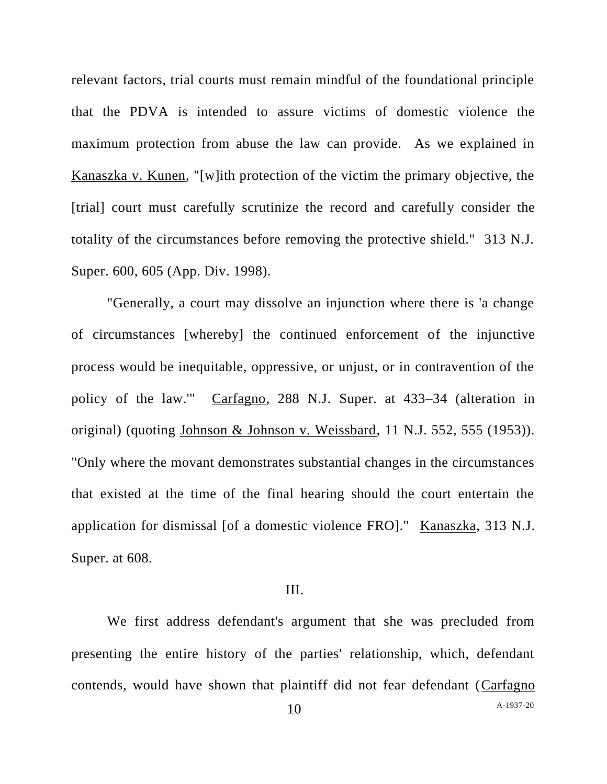relevant factors, trial courts must remain mindful of the foundational principle that the PDVA is intended to assure victims of domestic violence the maximum protection from abuse the law can provide. As we explained in Kanaszka v. Kunen, "[w]ith protection of the victim the primary objective, the [trial] court must carefully scrutinize the record and carefully consider the totality of the circumstances before removing the protective shield." 313 N.J. Super. 600, 605 (App. Div. 1998).

"Generally, a court may dissolve an injunction where there is 'a change of circumstances [whereby] the continued enforcement of the injunctive process would be inequitable, oppressive, or unjust, or in contravention of the policy of the law.'" Carfagno, 288 N.J. Super. at 433–34 (alteration in original) (quoting Johnson & Johnson v. Weissbard, 11 N.J. 552, 555 (1953)). "Only where the movant demonstrates substantial changes in the circumstances that existed at the time of the final hearing should the court entertain the application for dismissal [of a domestic violence FRO]." Kanaszka, 313 N.J. Super. at 608.

### III.

We first address defendant's argument that she was precluded from presenting the entire history of the parties' relationship, which, defendant contends, would have shown that plaintiff did not fear defendant (Carfagno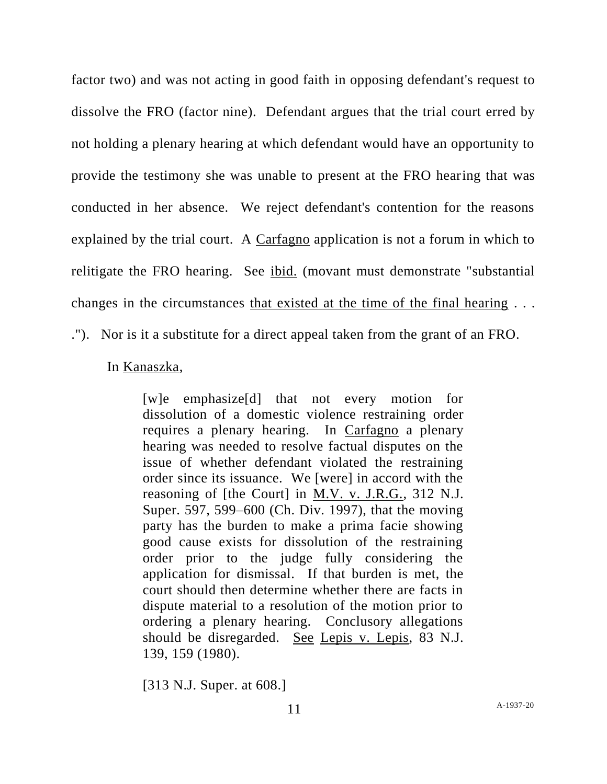factor two) and was not acting in good faith in opposing defendant's request to dissolve the FRO (factor nine). Defendant argues that the trial court erred by not holding a plenary hearing at which defendant would have an opportunity to provide the testimony she was unable to present at the FRO hearing that was conducted in her absence. We reject defendant's contention for the reasons explained by the trial court. A Carfagno application is not a forum in which to relitigate the FRO hearing. See ibid. (movant must demonstrate "substantial changes in the circumstances that existed at the time of the final hearing . . .

."). Nor is it a substitute for a direct appeal taken from the grant of an FRO.

### In Kanaszka,

[w]e emphasize[d] that not every motion for dissolution of a domestic violence restraining order requires a plenary hearing. In Carfagno a plenary hearing was needed to resolve factual disputes on the issue of whether defendant violated the restraining order since its issuance. We [were] in accord with the reasoning of [the Court] in M.V. v. J.R.G., 312 N.J. Super. 597, 599–600 (Ch. Div. 1997), that the moving party has the burden to make a prima facie showing good cause exists for dissolution of the restraining order prior to the judge fully considering the application for dismissal. If that burden is met, the court should then determine whether there are facts in dispute material to a resolution of the motion prior to ordering a plenary hearing. Conclusory allegations should be disregarded. See Lepis v. Lepis, 83 N.J. 139, 159 (1980).

[313 N.J. Super. at 608.]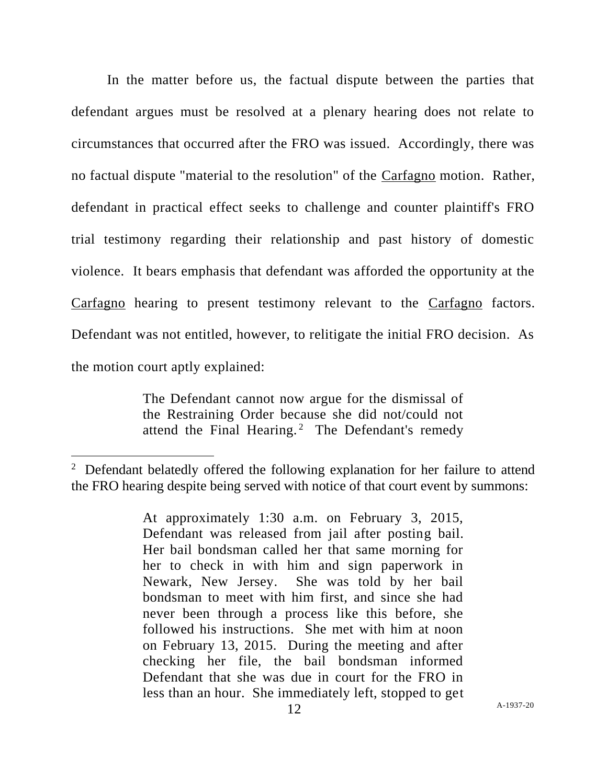In the matter before us, the factual dispute between the parties that defendant argues must be resolved at a plenary hearing does not relate to circumstances that occurred after the FRO was issued. Accordingly, there was no factual dispute "material to the resolution" of the Carfagno motion. Rather, defendant in practical effect seeks to challenge and counter plaintiff's FRO trial testimony regarding their relationship and past history of domestic violence. It bears emphasis that defendant was afforded the opportunity at the Carfagno hearing to present testimony relevant to the Carfagno factors. Defendant was not entitled, however, to relitigate the initial FRO decision. As the motion court aptly explained:

> The Defendant cannot now argue for the dismissal of the Restraining Order because she did not/could not attend the Final Hearing.<sup>2</sup> The Defendant's remedy

<sup>&</sup>lt;sup>2</sup> Defendant belatedly offered the following explanation for her failure to attend the FRO hearing despite being served with notice of that court event by summons:

At approximately 1:30 a.m. on February 3, 2015, Defendant was released from jail after posting bail. Her bail bondsman called her that same morning for her to check in with him and sign paperwork in Newark, New Jersey. She was told by her bail bondsman to meet with him first, and since she had never been through a process like this before, she followed his instructions. She met with him at noon on February 13, 2015. During the meeting and after checking her file, the bail bondsman informed Defendant that she was due in court for the FRO in less than an hour. She immediately left, stopped to get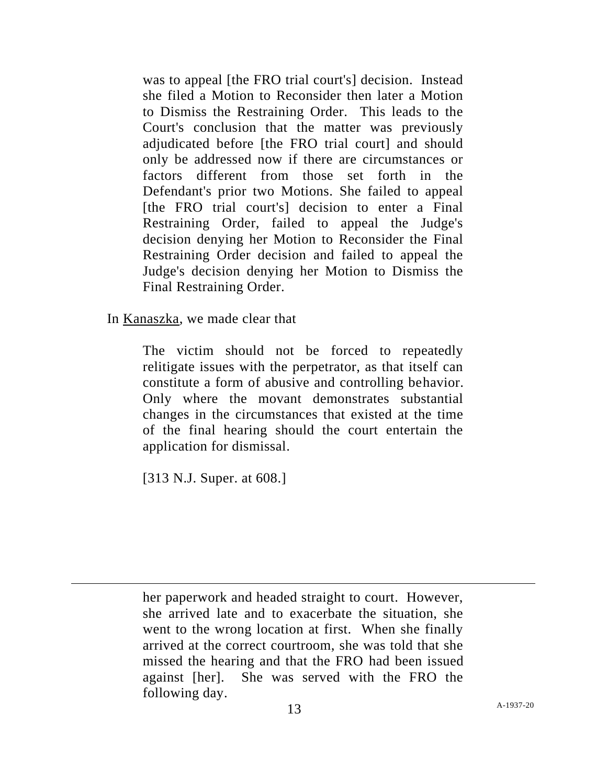was to appeal [the FRO trial court's] decision. Instead she filed a Motion to Reconsider then later a Motion to Dismiss the Restraining Order. This leads to the Court's conclusion that the matter was previously adjudicated before [the FRO trial court] and should only be addressed now if there are circumstances or factors different from those set forth in the Defendant's prior two Motions. She failed to appeal [the FRO trial court's] decision to enter a Final Restraining Order, failed to appeal the Judge's decision denying her Motion to Reconsider the Final Restraining Order decision and failed to appeal the Judge's decision denying her Motion to Dismiss the Final Restraining Order.

In Kanaszka, we made clear that

The victim should not be forced to repeatedly relitigate issues with the perpetrator, as that itself can constitute a form of abusive and controlling behavior. Only where the movant demonstrates substantial changes in the circumstances that existed at the time of the final hearing should the court entertain the application for dismissal.

[313 N.J. Super. at 608.]

her paperwork and headed straight to court. However, she arrived late and to exacerbate the situation, she went to the wrong location at first. When she finally arrived at the correct courtroom, she was told that she missed the hearing and that the FRO had been issued against [her]. She was served with the FRO the following day.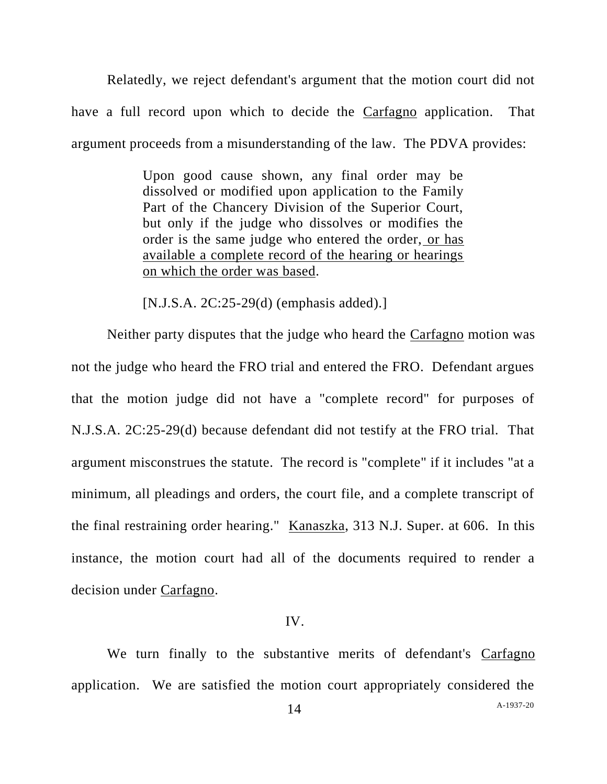Relatedly, we reject defendant's argument that the motion court did not have a full record upon which to decide the Carfagno application. That argument proceeds from a misunderstanding of the law. The PDVA provides:

> Upon good cause shown, any final order may be dissolved or modified upon application to the Family Part of the Chancery Division of the Superior Court, but only if the judge who dissolves or modifies the order is the same judge who entered the order, or has available a complete record of the hearing or hearings on which the order was based.

[N.J.S.A. 2C:25-29(d) (emphasis added).]

Neither party disputes that the judge who heard the Carfagno motion was not the judge who heard the FRO trial and entered the FRO. Defendant argues that the motion judge did not have a "complete record" for purposes of N.J.S.A. 2C:25-29(d) because defendant did not testify at the FRO trial. That argument misconstrues the statute. The record is "complete" if it includes "at a minimum, all pleadings and orders, the court file, and a complete transcript of the final restraining order hearing." Kanaszka, 313 N.J. Super. at 606. In this instance, the motion court had all of the documents required to render a decision under Carfagno.

### IV.

We turn finally to the substantive merits of defendant's Carfagno application. We are satisfied the motion court appropriately considered the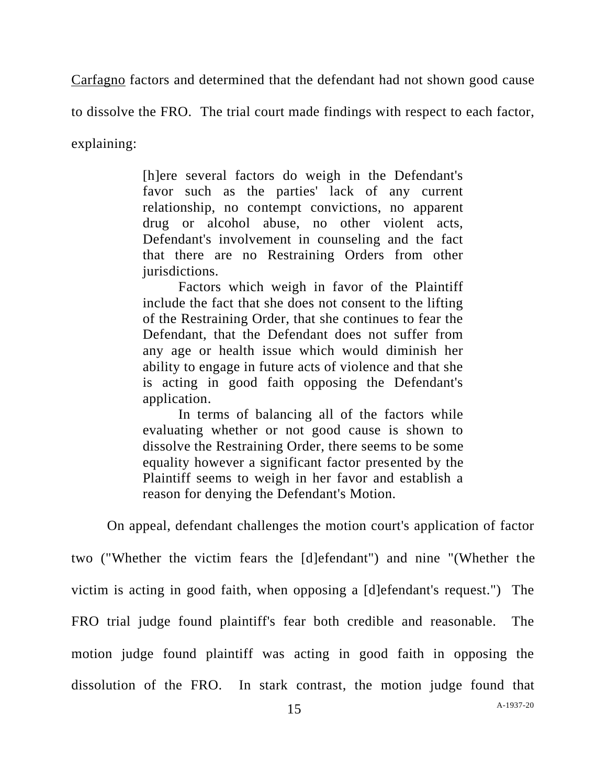Carfagno factors and determined that the defendant had not shown good cause

to dissolve the FRO. The trial court made findings with respect to each factor,

explaining:

[h]ere several factors do weigh in the Defendant's favor such as the parties' lack of any current relationship, no contempt convictions, no apparent drug or alcohol abuse, no other violent acts, Defendant's involvement in counseling and the fact that there are no Restraining Orders from other jurisdictions.

Factors which weigh in favor of the Plaintiff include the fact that she does not consent to the lifting of the Restraining Order, that she continues to fear the Defendant, that the Defendant does not suffer from any age or health issue which would diminish her ability to engage in future acts of violence and that she is acting in good faith opposing the Defendant's application.

In terms of balancing all of the factors while evaluating whether or not good cause is shown to dissolve the Restraining Order, there seems to be some equality however a significant factor presented by the Plaintiff seems to weigh in her favor and establish a reason for denying the Defendant's Motion.

On appeal, defendant challenges the motion court's application of factor

two ("Whether the victim fears the [d]efendant") and nine "(Whether the victim is acting in good faith, when opposing a [d]efendant's request.") The FRO trial judge found plaintiff's fear both credible and reasonable. The motion judge found plaintiff was acting in good faith in opposing the dissolution of the FRO. In stark contrast, the motion judge found that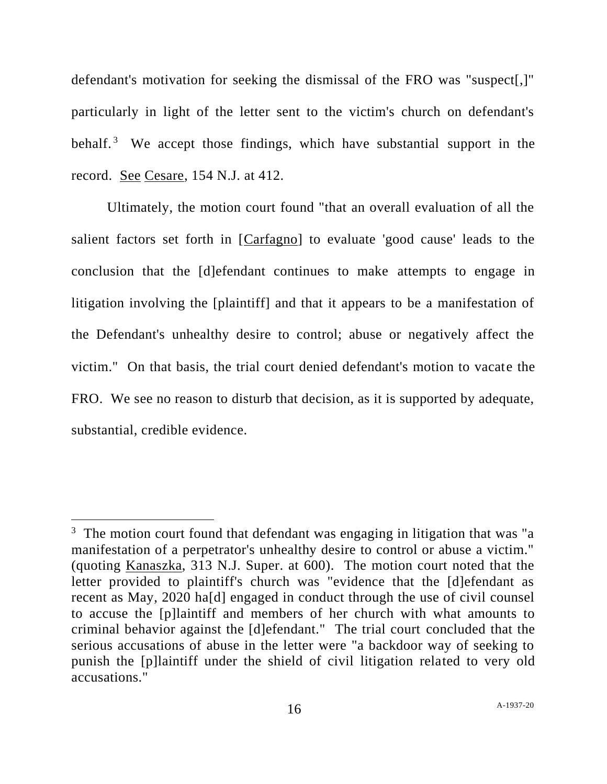defendant's motivation for seeking the dismissal of the FRO was "suspect[,]" particularly in light of the letter sent to the victim's church on defendant's behalf.<sup>3</sup> We accept those findings, which have substantial support in the record. See Cesare, 154 N.J. at 412.

Ultimately, the motion court found "that an overall evaluation of all the salient factors set forth in [Carfagno] to evaluate 'good cause' leads to the conclusion that the [d]efendant continues to make attempts to engage in litigation involving the [plaintiff] and that it appears to be a manifestation of the Defendant's unhealthy desire to control; abuse or negatively affect the victim." On that basis, the trial court denied defendant's motion to vacate the FRO. We see no reason to disturb that decision, as it is supported by adequate, substantial, credible evidence.

 $3$  The motion court found that defendant was engaging in litigation that was "a manifestation of a perpetrator's unhealthy desire to control or abuse a victim." (quoting Kanaszka, 313 N.J. Super. at 600). The motion court noted that the letter provided to plaintiff's church was "evidence that the [d]efendant as recent as May, 2020 ha[d] engaged in conduct through the use of civil counsel to accuse the [p]laintiff and members of her church with what amounts to criminal behavior against the [d]efendant." The trial court concluded that the serious accusations of abuse in the letter were "a backdoor way of seeking to punish the [p]laintiff under the shield of civil litigation related to very old accusations."